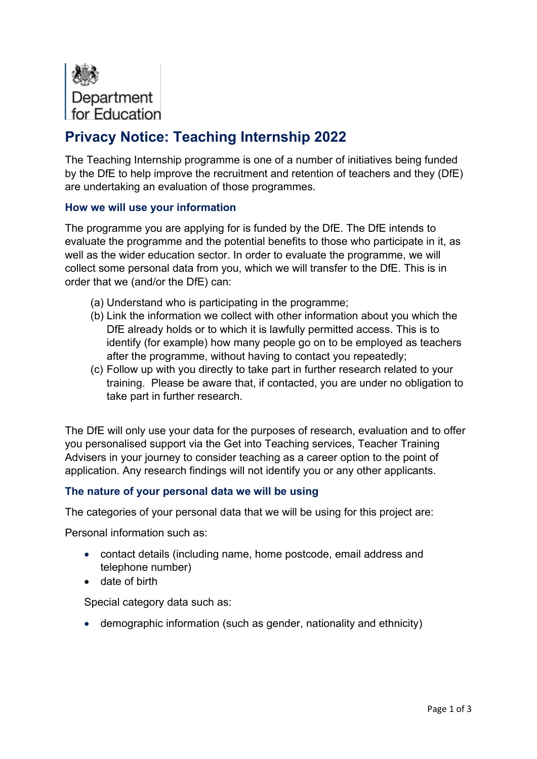

# **Privacy Notice: Teaching Internship 2022**

The Teaching Internship programme is one of a number of initiatives being funded by the DfE to help improve the recruitment and retention of teachers and they (DfE) are undertaking an evaluation of those programmes.

## **How we will use your information**

The programme you are applying for is funded by the DfE. The DfE intends to evaluate the programme and the potential benefits to those who participate in it, as well as the wider education sector. In order to evaluate the programme, we will collect some personal data from you, which we will transfer to the DfE. This is in order that we (and/or the DfE) can:

- (a) Understand who is participating in the programme;
- (b) Link the information we collect with other information about you which the DfE already holds or to which it is lawfully permitted access. This is to identify (for example) how many people go on to be employed as teachers after the programme, without having to contact you repeatedly;
- (c) Follow up with you directly to take part in further research related to your training. Please be aware that, if contacted, you are under no obligation to take part in further research.

The DfE will only use your data for the purposes of research, evaluation and to offer you personalised support via the Get into Teaching services, Teacher Training Advisers in your journey to consider teaching as a career option to the point of application. Any research findings will not identify you or any other applicants.

## **The nature of your personal data we will be using**

The categories of your personal data that we will be using for this project are:

Personal information such as:

- contact details (including name, home postcode, email address and telephone number)
- date of birth

Special category data such as:

• demographic information (such as gender, nationality and ethnicity)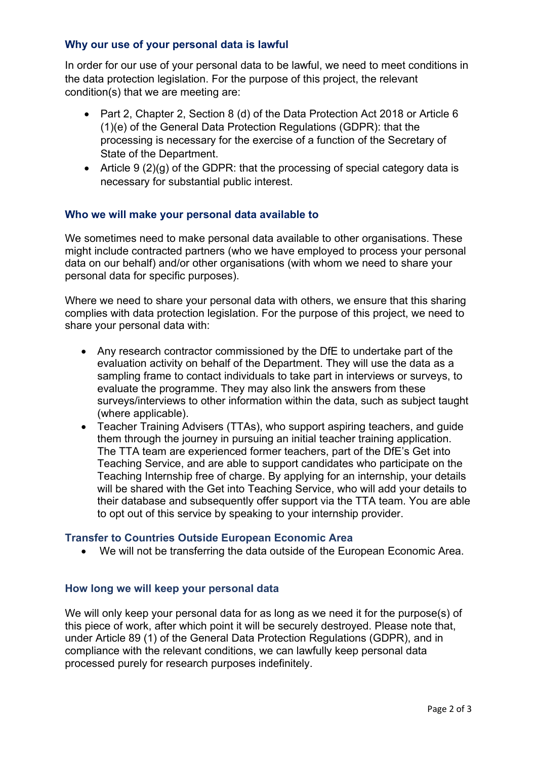## **Why our use of your personal data is lawful**

In order for our use of your personal data to be lawful, we need to meet conditions in the data protection legislation. For the purpose of this project, the relevant condition(s) that we are meeting are:

- Part 2, Chapter 2, Section 8 (d) of the Data Protection Act 2018 or Article 6 (1)(e) of the General Data Protection Regulations (GDPR): that the processing is necessary for the exercise of a function of the Secretary of State of the Department.
- Article 9  $(2)(g)$  of the GDPR: that the processing of special category data is necessary for substantial public interest.

#### **Who we will make your personal data available to**

We sometimes need to make personal data available to other organisations. These might include contracted partners (who we have employed to process your personal data on our behalf) and/or other organisations (with whom we need to share your personal data for specific purposes).

Where we need to share your personal data with others, we ensure that this sharing complies with data protection legislation. For the purpose of this project, we need to share your personal data with:

- Any research contractor commissioned by the DfE to undertake part of the evaluation activity on behalf of the Department. They will use the data as a sampling frame to contact individuals to take part in interviews or surveys, to evaluate the programme. They may also link the answers from these surveys/interviews to other information within the data, such as subject taught (where applicable).
- Teacher Training Advisers (TTAs), who support aspiring teachers, and guide them through the journey in pursuing an initial teacher training application. The TTA team are experienced former teachers, part of the DfE's Get into Teaching Service, and are able to support candidates who participate on the Teaching Internship free of charge. By applying for an internship, your details will be shared with the Get into Teaching Service, who will add your details to their database and subsequently offer support via the TTA team. You are able to opt out of this service by speaking to your internship provider.

#### **Transfer to Countries Outside European Economic Area**

• We will not be transferring the data outside of the European Economic Area.

#### **How long we will keep your personal data**

We will only keep your personal data for as long as we need it for the purpose(s) of this piece of work, after which point it will be securely destroyed. Please note that, under Article 89 (1) of the General Data Protection Regulations (GDPR), and in compliance with the relevant conditions, we can lawfully keep personal data processed purely for research purposes indefinitely.